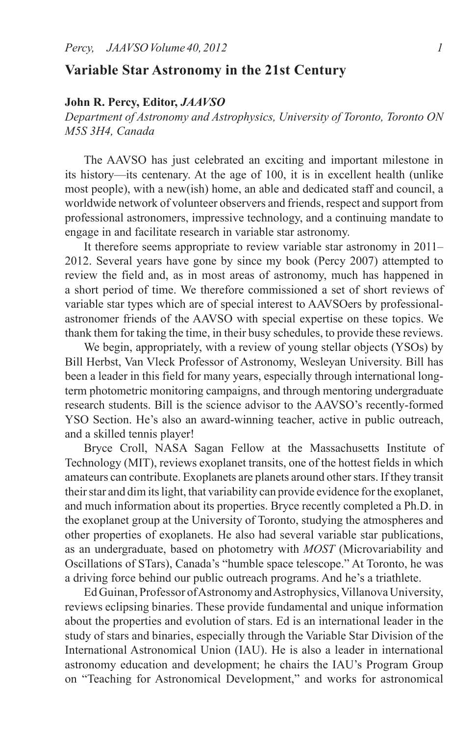## **Variable Star Astronomy in the 21st Century**

## **John R. Percy, Editor,** *JAAVSO*

*Department of Astronomy and Astrophysics, University of Toronto, Toronto ON M5S 3H4, Canada*

 The AAVSO has just celebrated an exciting and important milestone in its history—its centenary. At the age of 100, it is in excellent health (unlike most people), with a new(ish) home, an able and dedicated staff and council, a worldwide network of volunteer observers and friends, respect and support from professional astronomers, impressive technology, and a continuing mandate to engage in and facilitate research in variable star astronomy.

 It therefore seems appropriate to review variable star astronomy in 2011– 2012. Several years have gone by since my book (Percy 2007) attempted to review the field and, as in most areas of astronomy, much has happened in a short period of time. We therefore commissioned a set of short reviews of variable star types which are of special interest to AAVSOers by professionalastronomer friends of the AAVSO with special expertise on these topics. We thank them for taking the time, in their busy schedules, to provide these reviews.

 We begin, appropriately, with a review of young stellar objects (YSOs) by Bill Herbst, Van Vleck Professor of Astronomy, Wesleyan University. Bill has been a leader in this field for many years, especially through international longterm photometric monitoring campaigns, and through mentoring undergraduate research students. Bill is the science advisor to the AAVSO's recently-formed YSO Section. He's also an award-winning teacher, active in public outreach, and a skilled tennis player!

 Bryce Croll, NASA Sagan Fellow at the Massachusetts Institute of Technology (MIT), reviews exoplanet transits, one of the hottest fields in which amateurs can contribute. Exoplanets are planets around other stars. If they transit their star and dim its light, that variability can provide evidence for the exoplanet, and much information about its properties. Bryce recently completed a Ph.D. in the exoplanet group at the University of Toronto, studying the atmospheres and other properties of exoplanets. He also had several variable star publications, as an undergraduate, based on photometry with *MOST* (Microvariability and Oscillations of STars), Canada's "humble space telescope." At Toronto, he was a driving force behind our public outreach programs. And he's a triathlete.

Ed Guinan, Professor of Astronomy and Astrophysics, Villanova University, reviews eclipsing binaries. These provide fundamental and unique information about the properties and evolution of stars. Ed is an international leader in the study of stars and binaries, especially through the Variable Star Division of the International Astronomical Union (IAU). He is also a leader in international astronomy education and development; he chairs the IAU's Program Group on "Teaching for Astronomical Development," and works for astronomical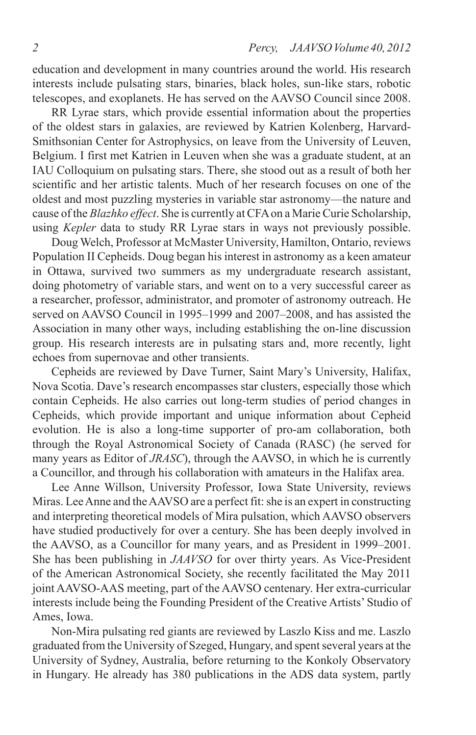education and development in many countries around the world. His research interests include pulsating stars, binaries, black holes, sun-like stars, robotic telescopes, and exoplanets. He has served on the AAVSO Council since 2008.

 RR Lyrae stars, which provide essential information about the properties of the oldest stars in galaxies, are reviewed by Katrien Kolenberg, Harvard-Smithsonian Center for Astrophysics, on leave from the University of Leuven, Belgium. I first met Katrien in Leuven when she was a graduate student, at an IAU Colloquium on pulsating stars. There, she stood out as a result of both her scientific and her artistic talents. Much of her research focuses on one of the oldest and most puzzling mysteries in variable star astronomy—the nature and cause ofthe *Blazhko effect*. She is currently atCFAon a MarieCurie Scholarship, using *Kepler* data to study RR Lyrae stars in ways not previously possible.

 Doug Welch, Professor at McMaster University, Hamilton, Ontario, reviews Population II Cepheids. Doug began his interest in astronomy as a keen amateur in Ottawa, survived two summers as my undergraduate research assistant, doing photometry of variable stars, and went on to a very successful career as a researcher, professor, administrator, and promoter of astronomy outreach. He served on AAVSO Council in 1995–1999 and 2007–2008, and has assisted the Association in many other ways, including establishing the on-line discussion group. His research interests are in pulsating stars and, more recently, light echoes from supernovae and other transients.

 Cepheids are reviewed by Dave Turner, Saint Mary's University, Halifax, Nova Scotia. Dave's research encompasses star clusters, especially those which contain Cepheids. He also carries out long-term studies of period changes in Cepheids, which provide important and unique information about Cepheid evolution. He is also a long-time supporter of pro-am collaboration, both through the Royal Astronomical Society of Canada (RASC) (he served for many years as Editor of *JRASC*), through the AAVSO, in which he is currently a Councillor, and through his collaboration with amateurs in the Halifax area.

 Lee Anne Willson, University Professor, Iowa State University, reviews Miras. Lee Anne and the AAVSO are a perfect fit: she is an expert in constructing and interpreting theoretical models of Mira pulsation, which AAVSO observers have studied productively for over a century. She has been deeply involved in the AAVSO, as a Councillor for many years, and as President in 1999–2001. She has been publishing in *JAAVSO* for over thirty years. As Vice-President of the American Astronomical Society, she recently facilitated the May 2011 joint AAVSO-AAS meeting, part of the AAVSO centenary. Her extra-curricular interests include being the Founding President of the Creative Artists' Studio of Ames, Iowa.

 Non-Mira pulsating red giants are reviewed by Laszlo Kiss and me. Laszlo graduated from the University of Szeged, Hungary, and spentseveral years at the University of Sydney, Australia, before returning to the Konkoly Observatory in Hungary. He already has 380 publications in the ADS data system, partly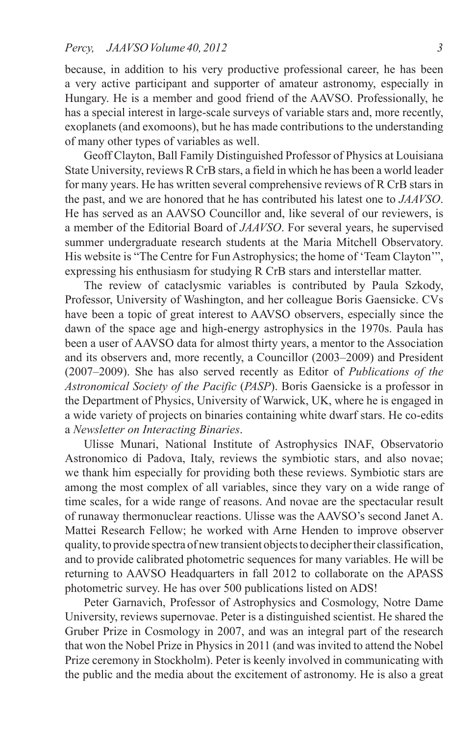because, in addition to his very productive professional career, he has been a very active participant and supporter of amateur astronomy, especially in Hungary. He is a member and good friend of the AAVSO. Professionally, he has a special interest in large-scale surveys of variable stars and, more recently, exoplanets (and exomoons), but he has made contributions to the understanding of many other types of variables as well.

 Geoff Clayton, Ball Family Distinguished Professor of Physics at Louisiana State University, reviews R CrB stars, a field in which he has been a world leader for many years. He has written several comprehensive reviews of R CrB stars in the past, and we are honored that he has contributed his latest one to *JAAVSO*. He has served as an AAVSO Councillor and, like several of our reviewers, is a member of the Editorial Board of *JAAVSO*. For several years, he supervised summer undergraduate research students at the Maria Mitchell Observatory. His website is "The Centre for Fun Astrophysics; the home of 'Team Clayton'", expressing his enthusiasm for studying R CrB stars and interstellar matter.

 The review of cataclysmic variables is contributed by Paula Szkody, Professor, University of Washington, and her colleague Boris Gaensicke. CVs have been a topic of great interest to AAVSO observers, especially since the dawn of the space age and high-energy astrophysics in the 1970s. Paula has been a user of AAVSO data for almost thirty years, a mentor to the Association and its observers and, more recently, a Councillor (2003–2009) and President (2007–2009). She has also served recently as Editor of *Publications of the Astronomical Society of the Pacific* (*PASP*). Boris Gaensicke is a professor in the Department of Physics, University of Warwick, UK, where he is engaged in a wide variety of projects on binaries containing white dwarf stars. He co-edits a *Newsletter on Interacting Binaries*.

 Ulisse Munari, National Institute of Astrophysics INAF, Observatorio Astronomico di Padova, Italy, reviews the symbiotic stars, and also novae; we thank him especially for providing both these reviews. Symbiotic stars are among the most complex of all variables, since they vary on a wide range of time scales, for a wide range of reasons. And novae are the spectacular result of runaway thermonuclear reactions. Ulisse was the AAVSO's second Janet A. Mattei Research Fellow; he worked with Arne Henden to improve observer quality, to provide spectra of new transient objects to decipher their classification, and to provide calibrated photometric sequences for many variables. He will be returning to AAVSO Headquarters in fall 2012 to collaborate on the APASS photometric survey. He has over 500 publications listed on ADS!

 Peter Garnavich, Professor of Astrophysics and Cosmology, Notre Dame University, reviews supernovae. Peter is a distinguished scientist. He shared the Gruber Prize in Cosmology in 2007, and was an integral part of the research that won the Nobel Prize in Physics in 2011 (and was invited to attend the Nobel Prize ceremony in Stockholm). Peter is keenly involved in communicating with the public and the media about the excitement of astronomy. He is also a great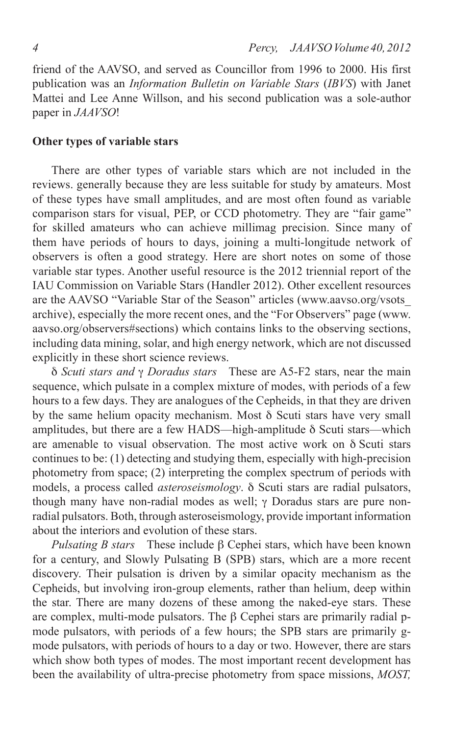friend of the AAVSO, and served as Councillor from 1996 to 2000. His first publication was an *Information Bulletin on Variable Stars* (*IBVS*) with Janet Mattei and Lee Anne Willson, and his second publication was a sole-author paper in *JAAVSO*!

## **Other types of variable stars**

 There are other types of variable stars which are not included in the reviews. generally because they are less suitable for study by amateurs. Most of these types have small amplitudes, and are most often found as variable comparison stars for visual, PEP, or CCD photometry. They are "fair game" for skilled amateurs who can achieve millimag precision. Since many of them have periods of hours to days, joining a multi-longitude network of observers is often a good strategy. Here are short notes on some of those variable star types. Another useful resource is the 2012 triennial report of the IAU Commission on Variable Stars (Handler 2012). Other excellent resources are the AAVSO "Variable Star of the Season" articles (www.aavso.org/vsots\_ archive), especially the more recent ones, and the "For Observers" page (www. aavso.org/observers#sections) which contains links to the observing sections, including data mining, solar, and high energy network, which are not discussed explicitly in these short science reviews.

d *Scuti stars and* g *Doradus stars* These are A5-F2 stars, near the main sequence, which pulsate in a complex mixture of modes, with periods of a few hours to a few days. They are analogues of the Cepheids, in that they are driven by the same helium opacity mechanism. Most  $\delta$  Scuti stars have very small amplitudes, but there are a few HADS—high-amplitude  $\delta$  Scuti stars—which are amenable to visual observation. The most active work on  $\delta$  Scuti stars continues to be: (1) detecting and studying them, especially with high-precision photometry from space; (2) interpreting the complex spectrum of periods with models, a process called *asteroseismology*.  $\delta$  Scuti stars are radial pulsators, though many have non-radial modes as well;  $\gamma$  Doradus stars are pure nonradial pulsators. Both, through asteroseismology, provide important information about the interiors and evolution of these stars.

*Pulsating B stars* These include  $\beta$  Cephei stars, which have been known for a century, and Slowly Pulsating B (SPB) stars, which are a more recent discovery. Their pulsation is driven by a similar opacity mechanism as the Cepheids, but involving iron-group elements, rather than helium, deep within the star. There are many dozens of these among the naked-eye stars. These are complex, multi-mode pulsators. The  $\beta$  Cephei stars are primarily radial pmode pulsators, with periods of a few hours; the SPB stars are primarily gmode pulsators, with periods of hours to a day or two. However, there are stars which show both types of modes. The most important recent development has been the availability of ultra-precise photometry from space missions, *MOST,*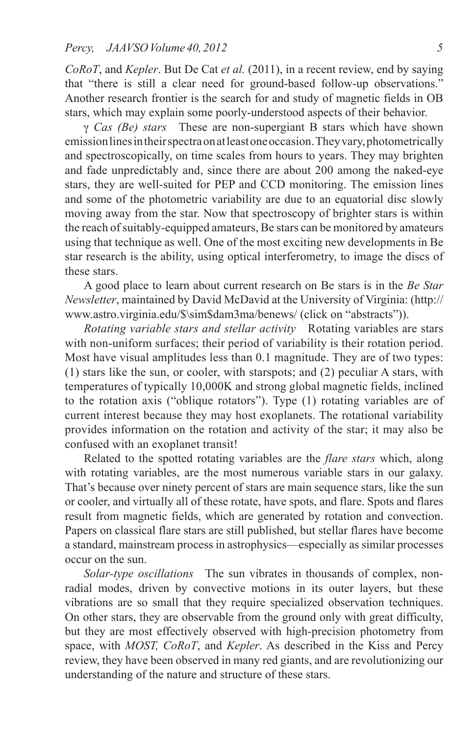*CoRoT*, and *Kepler*. But De Cat *et al.* (2011), in a recent review, end by saying that "there is still a clear need for ground-based follow-up observations." Another research frontier is the search for and study of magnetic fields in OB stars, which may explain some poorly-understood aspects of their behavior.

g *Cas (Be) stars* These are non-supergiant B stars which have shown emission lines in their spectra on at least one occasion. They vary, photometrically and spectroscopically, on time scales from hours to years. They may brighten and fade unpredictably and, since there are about 200 among the naked-eye stars, they are well-suited for PEP and CCD monitoring. The emission lines and some of the photometric variability are due to an equatorial disc slowly moving away from the star. Now that spectroscopy of brighter stars is within the reach of suitably-equipped amateurs, Be stars can be monitored by amateurs using that technique as well. One of the most exciting new developments in Be star research is the ability, using optical interferometry, to image the discs of these stars.

 A good place to learn about current research on Be stars is in the *Be Star Newsletter*, maintained by David McDavid at the University of Virginia: (http:// www.astro.virginia.edu/\$\sim\$dam3ma/benews/ (click on "abstracts")).

*Rotating variable stars and stellar activity* Rotating variables are stars with non-uniform surfaces; their period of variability is their rotation period. Most have visual amplitudes less than 0.1 magnitude. They are of two types: (1) stars like the sun, or cooler, with starspots; and (2) peculiar A stars, with temperatures of typically 10,000K and strong global magnetic fields, inclined to the rotation axis ("oblique rotators"). Type (1) rotating variables are of current interest because they may host exoplanets. The rotational variability provides information on the rotation and activity of the star; it may also be confused with an exoplanet transit!

 Related to the spotted rotating variables are the *flare stars* which, along with rotating variables, are the most numerous variable stars in our galaxy. That's because over ninety percent of stars are main sequence stars, like the sun or cooler, and virtually all of these rotate, have spots, and flare. Spots and flares result from magnetic fields, which are generated by rotation and convection. Papers on classical flare stars are still published, but stellar flares have become a standard, mainstream process in astrophysics—especially as similar processes occur on the sun.

*Solar-type oscillations* The sun vibrates in thousands of complex, nonradial modes, driven by convective motions in its outer layers, but these vibrations are so small that they require specialized observation techniques. On other stars, they are observable from the ground only with great difficulty, but they are most effectively observed with high-precision photometry from space, with *MOST, CoRoT*, and *Kepler*. As described in the Kiss and Percy review, they have been observed in many red giants, and are revolutionizing our understanding of the nature and structure of these stars.